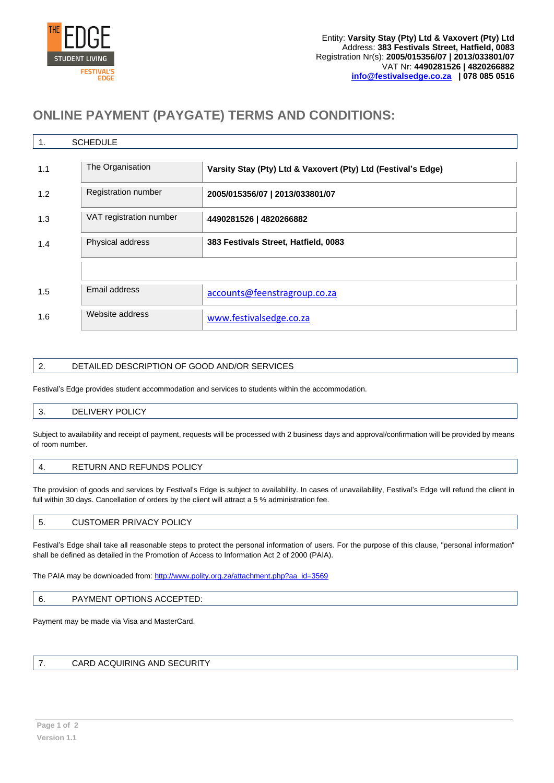

# **ONLINE PAYMENT (PAYGATE) TERMS AND CONDITIONS:**

| <b>SCHEDULE</b><br>1. |                         |                                                               |  |  |  |  |
|-----------------------|-------------------------|---------------------------------------------------------------|--|--|--|--|
| 1.1                   | The Organisation        | Varsity Stay (Pty) Ltd & Vaxovert (Pty) Ltd (Festival's Edge) |  |  |  |  |
| 1.2                   | Registration number     | 2005/015356/07   2013/033801/07                               |  |  |  |  |
| 1.3                   | VAT registration number | 4490281526   4820266882                                       |  |  |  |  |
| 1.4                   | Physical address        | 383 Festivals Street, Hatfield, 0083                          |  |  |  |  |
|                       |                         |                                                               |  |  |  |  |
| 1.5                   | Email address           | accounts@feenstragroup.co.za                                  |  |  |  |  |
| 1.6                   | Website address         | www.festivalsedge.co.za                                       |  |  |  |  |

# 2. DETAILED DESCRIPTION OF GOOD AND/OR SERVICES

Festival's Edge provides student accommodation and services to students within the accommodation.

# 3. DELIVERY POLICY

Subject to availability and receipt of payment, requests will be processed with 2 business days and approval/confirmation will be provided by means of room number.

# 4. RETURN AND REFUNDS POLICY

The provision of goods and services by Festival's Edge is subject to availability. In cases of unavailability, Festival's Edge will refund the client in full within 30 days. Cancellation of orders by the client will attract a 5 % administration fee.

| <b>CUSTOMER PRIVACY POLICY</b><br>. ب |
|---------------------------------------|
|---------------------------------------|

Festival's Edge shall take all reasonable steps to protect the personal information of users. For the purpose of this clause, "personal information" shall be defined as detailed in the Promotion of Access to Information Act 2 of 2000 (PAIA).

The PAIA may be downloaded from: [http://www.polity.org.za/attachment.php?aa\\_id=3569](http://www.polity.org.za/attachment.php?aa_id=3569)

#### 6. PAYMENT OPTIONS ACCEPTED:

Payment may be made via Visa and MasterCard.

# 7. CARD ACQUIRING AND SECURITY